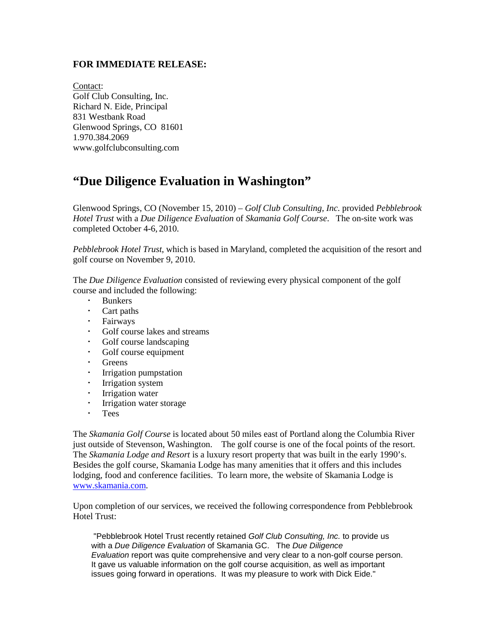## **FOR IMMEDIATE RELEASE:**

Contact: Golf Club Consulting, Inc. Richard N. Eide, Principal 831 Westbank Road Glenwood Springs, CO 81601 1.970.384.2069 www.golfclubconsulting.com

## **"Due Diligence Evaluation in Washington"**

Glenwood Springs, CO (November 15, 2010) – *Golf Club Consulting, Inc*. provided *Pebblebrook Hotel Trust* with a *Due Diligence Evaluation* of *Skamania Golf Course*. The on-site work was completed October 4-6, 2010.

*Pebblebrook Hotel Trust*, which is based in Maryland, completed the acquisition of the resort and golf course on November 9, 2010.

The *Due Diligence Evaluation* consisted of reviewing every physical component of the golf course and included the following:

- Bunkers
- Cart paths
- Fairways
- Golf course lakes and streams
- Golf course landscaping
- Golf course equipment
- Greens
- Irrigation pumpstation
- **·** Irrigation system
- Irrigation water
- Irrigation water storage
- Tees

The *Skamania Golf Course* is located about 50 miles east of Portland along the Columbia River just outside of Stevenson, Washington. The golf course is one of the focal points of the resort. The *Skamania Lodge and Resort* is a luxury resort property that was built in the early 1990's. Besides the golf course, Skamania Lodge has many amenities that it offers and this includes lodging, food and conference facilities. To learn more, the website of Skamania Lodge is [www.skamania.com.](http://www.skamania.com/)

Upon completion of our services, we received the following correspondence from Pebblebrook Hotel Trust:

"Pebblebrook Hotel Trust recently retained *Golf Club Consulting, Inc.* to provide us with a *Due Diligence Evaluation* of Skamania GC. The *Due Diligence Evaluation* report was quite comprehensive and very clear to a non-golf course person. It gave us valuable information on the golf course acquisition, as well as important issues going forward in operations. It was my pleasure to work with Dick Eide."